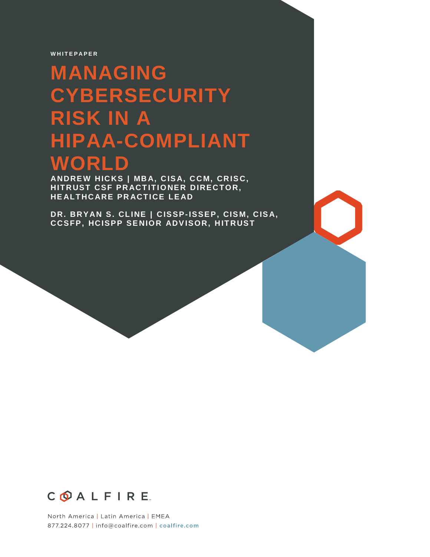**W H I T E P A P E R**

# **MANAGING CYBERSECURITY RISK IN A HIPAA-COMPLIANT WORLD**

**ANDRE W HIC KS | MB A, C IS A, C C M, CR IS C, HITRUST CSF PRACTITIONER DIRECTOR, HE ALT HC ARE PR ACT ICE LE AD**

**DR. BR YAN S. CL INE | C ISSP-ISSEP, CIS M, C IS A, CCSFP, HC ISPP SE NIOR ADV ISOR, H IT R UST** 



North America | Latin America | EMEA 877.224.8077 | info@coalfire.com | coalfire.com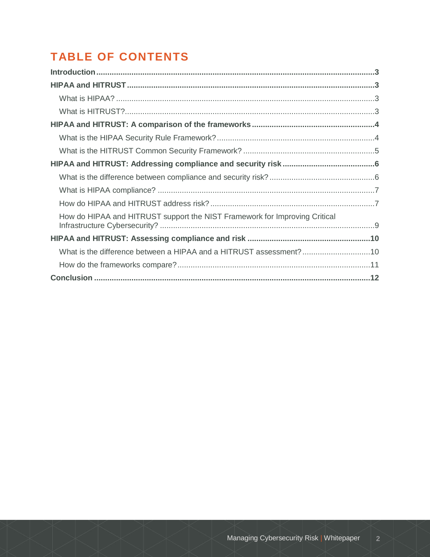## **TABLE OF CONTENTS**

| How do HIPAA and HITRUST support the NIST Framework for Improving Critical |  |
|----------------------------------------------------------------------------|--|
|                                                                            |  |
| What is the difference between a HIPAA and a HITRUST assessment?10         |  |
|                                                                            |  |
|                                                                            |  |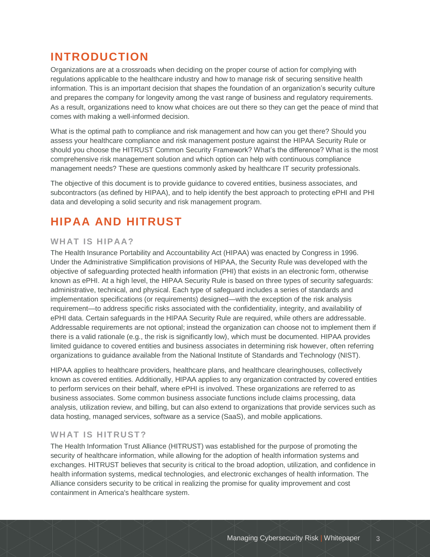### **INTRODUCTION**

Organizations are at a crossroads when deciding on the proper course of action for complying with regulations applicable to the healthcare industry and how to manage risk of securing sensitive health information. This is an important decision that shapes the foundation of an organization's security culture and prepares the company for longevity among the vast range of business and regulatory requirements. As a result, organizations need to know what choices are out there so they can get the peace of mind that comes with making a well-informed decision.

What is the optimal path to compliance and risk management and how can you get there? Should you assess your healthcare compliance and risk management posture against the HIPAA Security Rule or should you choose the HITRUST Common Security Framework? What's the difference? What is the most comprehensive risk management solution and which option can help with continuous compliance management needs? These are questions commonly asked by healthcare IT security professionals.

The objective of this document is to provide guidance to covered entities, business associates, and subcontractors (as defined by HIPAA), and to help identify the best approach to protecting ePHI and PHI data and developing a solid security and risk management program.

### **HIPAA AND HITRUST**

#### **WHAT IS HIPAA?**

The Health Insurance Portability and Accountability Act (HIPAA) was enacted by Congress in 1996. Under the Administrative Simplification provisions of HIPAA, the Security Rule was developed with the objective of safeguarding protected health information (PHI) that exists in an electronic form, otherwise known as ePHI. At a high level, the HIPAA Security Rule is based on three types of security safeguards: administrative, technical, and physical. Each type of safeguard includes a series of standards and implementation specifications (or requirements) designed—with the exception of the risk analysis requirement—to address specific risks associated with the confidentiality, integrity, and availability of ePHI data. Certain safeguards in the HIPAA Security Rule are required, while others are addressable. Addressable requirements are not optional; instead the organization can choose not to implement them if there is a valid rationale (e.g., the risk is significantly low), which must be documented. HIPAA provides limited guidance to covered entities and business associates in determining risk however, often referring organizations to guidance available from the National Institute of Standards and Technology (NIST).

HIPAA applies to healthcare providers, healthcare plans, and healthcare clearinghouses, collectively known as covered entities. Additionally, HIPAA applies to any organization contracted by covered entities to perform services on their behalf, where ePHI is involved. These organizations are referred to as business associates. Some common business associate functions include claims processing, data analysis, utilization review, and billing, but can also extend to organizations that provide services such as data hosting, managed services, software as a service (SaaS), and mobile applications.

### WHAT IS HITRUST?

The Health Information Trust Alliance (HITRUST) was established for the purpose of promoting the security of healthcare information, while allowing for the adoption of health information systems and exchanges. HITRUST believes that security is critical to the broad adoption, utilization, and confidence in health information systems, medical technologies, and electronic exchanges of health information. The Alliance considers security to be critical in realizing the promise for quality improvement and cost containment in America's healthcare system.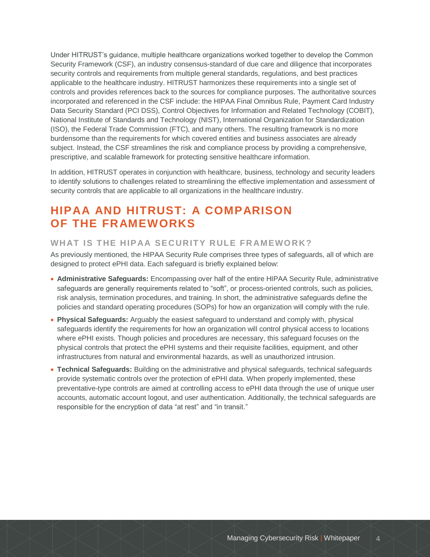Under HITRUST's guidance, multiple healthcare organizations worked together to develop the Common Security Framework (CSF), an industry consensus-standard of due care and diligence that incorporates security controls and requirements from multiple general standards, regulations, and best practices applicable to the healthcare industry. HITRUST harmonizes these requirements into a single set of controls and provides references back to the sources for compliance purposes. The authoritative sources incorporated and referenced in the CSF include: the HIPAA Final Omnibus Rule, Payment Card Industry Data Security Standard (PCI DSS), Control Objectives for Information and Related Technology (COBIT), National Institute of Standards and Technology (NIST), International Organization for Standardization (ISO), the Federal Trade Commission (FTC), and many others. The resulting framework is no more burdensome than the requirements for which covered entities and business associates are already subject. Instead, the CSF streamlines the risk and compliance process by providing a comprehensive, prescriptive, and scalable framework for protecting sensitive healthcare information.

In addition, HITRUST operates in conjunction with healthcare, business, technology and security leaders to identify solutions to challenges related to streamlining the effective implementation and assessment of security controls that are applicable to all organizations in the healthcare industry.

### **HIPAA AND HITRUST: A COMPARISON OF THE FRAMEWORKS**

### WHAT IS THE HIPAA SECURITY RULE FRAMEWORK?

As previously mentioned, the HIPAA Security Rule comprises three types of safeguards, all of which are designed to protect ePHI data. Each safeguard is briefly explained below:

- **Administrative Safeguards:** Encompassing over half of the entire HIPAA Security Rule, administrative safeguards are generally requirements related to "soft", or process-oriented controls, such as policies, risk analysis, termination procedures, and training. In short, the administrative safeguards define the policies and standard operating procedures (SOPs) for how an organization will comply with the rule.
- **Physical Safeguards:** Arguably the easiest safeguard to understand and comply with, physical safeguards identify the requirements for how an organization will control physical access to locations where ePHI exists. Though policies and procedures are necessary, this safeguard focuses on the physical controls that protect the ePHI systems and their requisite facilities, equipment, and other infrastructures from natural and environmental hazards, as well as unauthorized intrusion.
- **Technical Safeguards:** Building on the administrative and physical safeguards, technical safeguards provide systematic controls over the protection of ePHI data. When properly implemented, these preventative-type controls are aimed at controlling access to ePHI data through the use of unique user accounts, automatic account logout, and user authentication. Additionally, the technical safeguards are responsible for the encryption of data "at rest" and "in transit."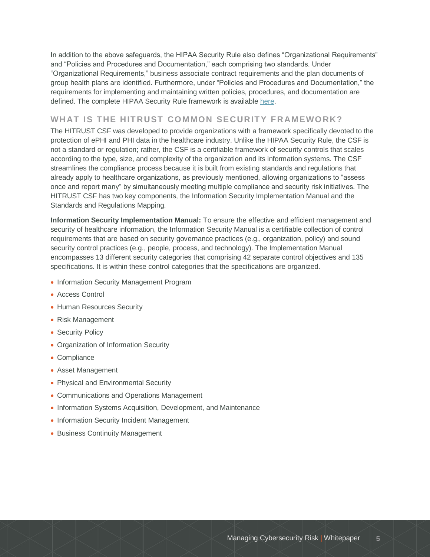In addition to the above safeguards, the HIPAA Security Rule also defines "Organizational Requirements" and "Policies and Procedures and Documentation," each comprising two standards. Under "Organizational Requirements," business associate contract requirements and the plan documents of group health plans are identified. Furthermore, under "Policies and Procedures and Documentation," the requirements for implementing and maintaining written policies, procedures, and documentation are defined. The complete HIPAA Security Rule framework is available [here.](http://www.hhs.gov/ocr/privacy/hipaa/administrative/securityrule/securityrulepdf.pdf)

### WHAT IS THE HITRUST COMMON SECURITY FRAMEWORK?

The HITRUST CSF was developed to provide organizations with a framework specifically devoted to the protection of ePHI and PHI data in the healthcare industry. Unlike the HIPAA Security Rule, the CSF is not a standard or regulation; rather, the CSF is a certifiable framework of security controls that scales according to the type, size, and complexity of the organization and its information systems. The CSF streamlines the compliance process because it is built from existing standards and regulations that already apply to healthcare organizations, as previously mentioned, allowing organizations to "assess once and report many" by simultaneously meeting multiple compliance and security risk initiatives. The HITRUST CSF has two key components, the Information Security Implementation Manual and the Standards and Regulations Mapping.

**Information Security Implementation Manual:** To ensure the effective and efficient management and security of healthcare information, the Information Security Manual is a certifiable collection of control requirements that are based on security governance practices (e.g., organization, policy) and sound security control practices (e.g., people, process, and technology). The Implementation Manual encompasses 13 different security categories that comprising 42 separate control objectives and 135 specifications. It is within these control categories that the specifications are organized.

- Information Security Management Program
- Access Control
- Human Resources Security
- Risk Management
- Security Policy
- Organization of Information Security
- Compliance
- Asset Management
- Physical and Environmental Security
- Communications and Operations Management
- Information Systems Acquisition, Development, and Maintenance
- Information Security Incident Management
- Business Continuity Management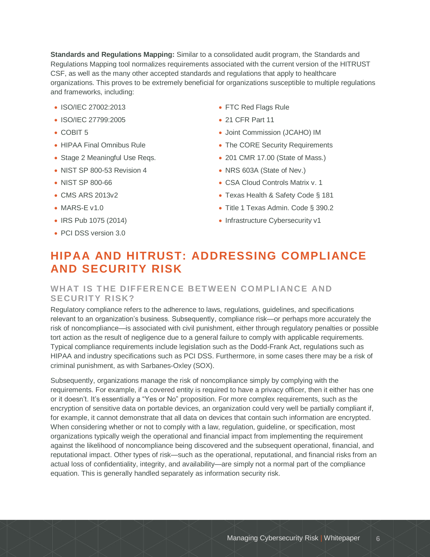**Standards and Regulations Mapping:** Similar to a consolidated audit program, the Standards and Regulations Mapping tool normalizes requirements associated with the current version of the HITRUST CSF, as well as the many other accepted standards and regulations that apply to healthcare organizations. This proves to be extremely beneficial for organizations susceptible to multiple regulations and frameworks, including:

- ISO/IEC 27002:2013
- ISO/IEC 27799:2005
- COBIT 5
- HIPAA Final Omnibus Rule
- Stage 2 Meaningful Use Regs.
- NIST SP 800-53 Revision 4
- NIST SP 800-66
- CMS ARS 2013v2
- MARS-E v1.0
- IRS Pub 1075 (2014)
- PCI DSS version 3.0
- FTC Red Flags Rule
- 21 CFR Part 11
- Joint Commission (JCAHO) IM
- The CORE Security Requirements
- 201 CMR 17.00 (State of Mass.)
- NRS 603A (State of Nev.)
- CSA Cloud Controls Matrix v. 1
- Texas Health & Safety Code § 181
- Title 1 Texas Admin. Code § 390.2
- Infrastructure Cybersecurity v1

### **HIPAA AND HITRUST: ADDRESSING COMPLIANCE AND SECURITY RISK**

#### WHAT IS THE DIFFERENCE BETWEEN COMPLIANCE AND **SECURITY RISK?**

Regulatory compliance refers to the adherence to laws, regulations, guidelines, and specifications relevant to an organization's business. Subsequently, compliance risk—or perhaps more accurately the risk of noncompliance—is associated with civil punishment, either through regulatory penalties or possible tort action as the result of negligence due to a general failure to comply with applicable requirements. Typical compliance requirements include legislation such as the Dodd-Frank Act, regulations such as HIPAA and industry specifications such as PCI DSS. Furthermore, in some cases there may be a risk of criminal punishment, as with Sarbanes-Oxley (SOX).

Subsequently, organizations manage the risk of noncompliance simply by complying with the requirements. For example, if a covered entity is required to have a privacy officer, then it either has one or it doesn't. It's essentially a "Yes or No" proposition. For more complex requirements, such as the encryption of sensitive data on portable devices, an organization could very well be partially compliant if, for example, it cannot demonstrate that all data on devices that contain such information are encrypted. When considering whether or not to comply with a law, regulation, guideline, or specification, most organizations typically weigh the operational and financial impact from implementing the requirement against the likelihood of noncompliance being discovered and the subsequent operational, financial, and reputational impact. Other types of risk—such as the operational, reputational, and financial risks from an actual loss of confidentiality, integrity, and availability—are simply not a normal part of the compliance equation. This is generally handled separately as information security risk.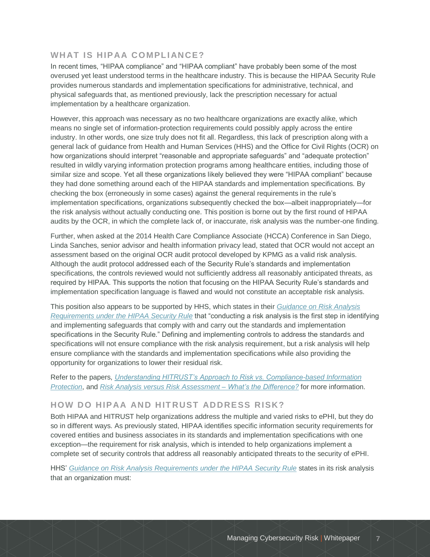### **WHAT IS HIPAA COMPLIANCE?**

In recent times, "HIPAA compliance" and "HIPAA compliant" have probably been some of the most overused yet least understood terms in the healthcare industry. This is because the HIPAA Security Rule provides numerous standards and implementation specifications for administrative, technical, and physical safeguards that, as mentioned previously, lack the prescription necessary for actual implementation by a healthcare organization.

However, this approach was necessary as no two healthcare organizations are exactly alike, which means no single set of information-protection requirements could possibly apply across the entire industry. In other words, one size truly does not fit all. Regardless, this lack of prescription along with a general lack of guidance from Health and Human Services (HHS) and the Office for Civil Rights (OCR) on how organizations should interpret "reasonable and appropriate safeguards" and "adequate protection" resulted in wildly varying information protection programs among healthcare entities, including those of similar size and scope. Yet all these organizations likely believed they were "HIPAA compliant" because they had done something around each of the HIPAA standards and implementation specifications. By checking the box (erroneously in some cases) against the general requirements in the rule's implementation specifications, organizations subsequently checked the box—albeit inappropriately—for the risk analysis without actually conducting one. This position is borne out by the first round of HIPAA audits by the OCR, in which the complete lack of, or inaccurate, risk analysis was the number-one finding.

Further, when asked at the 2014 Health Care Compliance Associate (HCCA) Conference in San Diego, Linda Sanches, senior advisor and health information privacy lead, stated that OCR would not accept an assessment based on the original OCR audit protocol developed by KPMG as a valid risk analysis. Although the audit protocol addressed each of the Security Rule's standards and implementation specifications, the controls reviewed would not sufficiently address all reasonably anticipated threats, as required by HIPAA. This supports the notion that focusing on the HIPAA Security Rule's standards and implementation specification language is flawed and would not constitute an acceptable risk analysis.

This position also appears to be supported by HHS, which states in their *[Guidance on Risk Analysis](http://www.hhs.gov/ocr/privacy/hipaa/administrative/securityrule/rafinalguidancepdf.pdf)  [Requirements under the HIPAA Security Rule](http://www.hhs.gov/ocr/privacy/hipaa/administrative/securityrule/rafinalguidancepdf.pdf)* that "conducting a risk analysis is the first step in identifying and implementing safeguards that comply with and carry out the standards and implementation specifications in the Security Rule." Defining and implementing controls to address the standards and specifications will not ensure compliance with the risk analysis requirement, but a risk analysis will help ensure compliance with the standards and implementation specifications while also providing the opportunity for organizations to lower their residual risk.

Refer to the papers, *[Understanding HITRUST's Approach to Risk vs. Compliance-based Information](http://hitrustalliance.net/content/uploads/2014/06/RiskVsComplianceWhitepaper.pdf)  [Protection](http://hitrustalliance.net/content/uploads/2014/06/RiskVsComplianceWhitepaper.pdf)*, and *[Risk Analysis versus Risk Assessment –](http://www.coalfire.com/Resources/Whitepapers/Risk-Analysis-vs-Risk-Assessment) What's the Difference?* for more information.

#### **HOW DO HIPAA AND HIT RUST ADDRESS RISK?**

Both HIPAA and HITRUST help organizations address the multiple and varied risks to ePHI, but they do so in different ways. As previously stated, HIPAA identifies specific information security requirements for covered entities and business associates in its standards and implementation specifications with one exception—the requirement for risk analysis, which is intended to help organizations implement a complete set of security controls that address all reasonably anticipated threats to the security of ePHI.

HHS' *[Guidance on Risk Analysis Requirements under the HIPAA Security Rule](http://www.hhs.gov/ocr/privacy/hipaa/administrative/securityrule/rafinalguidancepdf.pdf)* states in its risk analysis that an organization must: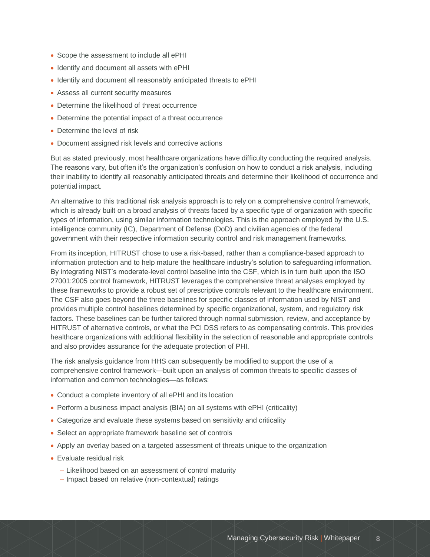- Scope the assessment to include all ePHI
- Identify and document all assets with ePHI
- Identify and document all reasonably anticipated threats to ePHI
- Assess all current security measures
- Determine the likelihood of threat occurrence
- Determine the potential impact of a threat occurrence
- Determine the level of risk
- Document assigned risk levels and corrective actions

But as stated previously, most healthcare organizations have difficulty conducting the required analysis. The reasons vary, but often it's the organization's confusion on how to conduct a risk analysis, including their inability to identify all reasonably anticipated threats and determine their likelihood of occurrence and potential impact.

An alternative to this traditional risk analysis approach is to rely on a comprehensive control framework, which is already built on a broad analysis of threats faced by a specific type of organization with specific types of information, using similar information technologies. This is the approach employed by the U.S. intelligence community (IC), Department of Defense (DoD) and civilian agencies of the federal government with their respective information security control and risk management frameworks.

From its inception, HITRUST chose to use a risk-based, rather than a compliance-based approach to information protection and to help mature the healthcare industry's solution to safeguarding information. By integrating NIST's moderate-level control baseline into the CSF, which is in turn built upon the ISO 27001:2005 control framework, HITRUST leverages the comprehensive threat analyses employed by these frameworks to provide a robust set of prescriptive controls relevant to the healthcare environment. The CSF also goes beyond the three baselines for specific classes of information used by NIST and provides multiple control baselines determined by specific organizational, system, and regulatory risk factors. These baselines can be further tailored through normal submission, review, and acceptance by HITRUST of alternative controls, or what the PCI DSS refers to as compensating controls. This provides healthcare organizations with additional flexibility in the selection of reasonable and appropriate controls and also provides assurance for the adequate protection of PHI.

The risk analysis guidance from HHS can subsequently be modified to support the use of a comprehensive control framework—built upon an analysis of common threats to specific classes of information and common technologies—as follows:

- Conduct a complete inventory of all ePHI and its location
- Perform a business impact analysis (BIA) on all systems with ePHI (criticality)
- Categorize and evaluate these systems based on sensitivity and criticality
- Select an appropriate framework baseline set of controls
- Apply an overlay based on a targeted assessment of threats unique to the organization
- Evaluate residual risk
	- Likelihood based on an assessment of control maturity
	- Impact based on relative (non-contextual) ratings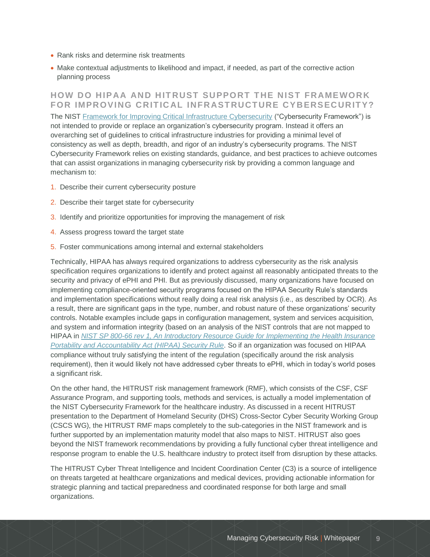- Rank risks and determine risk treatments
- Make contextual adjustments to likelihood and impact, if needed, as part of the corrective action planning process

**HOW DO HIPAA AND HITRUST SUPPORT THE NIST FRAMEWORK** FOR IMPROVING CRITICAL INFRASTRUCTURE CYBERSECURITY? The NIST [Framework for Improving Critical Infrastructure Cybersecurity](http://www.nist.gov/cyberframework/upload/cybersecurity-framework-021214-final.pdf) ("Cybersecurity Framework") is not intended to provide or replace an organization's cybersecurity program. Instead it offers an overarching set of guidelines to critical infrastructure industries for providing a minimal level of consistency as well as depth, breadth, and rigor of an industry's cybersecurity programs. The NIST Cybersecurity Framework relies on existing standards, guidance, and best practices to achieve outcomes that can assist organizations in managing cybersecurity risk by providing a common language and mechanism to:

- 1. Describe their current cybersecurity posture
- 2. Describe their target state for cybersecurity
- 3. Identify and prioritize opportunities for improving the management of risk
- 4. Assess progress toward the target state
- 5. Foster communications among internal and external stakeholders

Technically, HIPAA has always required organizations to address cybersecurity as the risk analysis specification requires organizations to identify and protect against all reasonably anticipated threats to the security and privacy of ePHI and PHI. But as previously discussed, many organizations have focused on implementing compliance-oriented security programs focused on the HIPAA Security Rule's standards and implementation specifications without really doing a real risk analysis (i.e., as described by OCR). As a result, there are significant gaps in the type, number, and robust nature of these organizations' security controls. Notable examples include gaps in configuration management, system and services acquisition, and system and information integrity (based on an analysis of the NIST controls that are not mapped to HIPAA in *[NIST SP 800-66 rev 1, An Introductory Resource Guide for Implementing the Health Insurance](http://csrc.nist.gov/publications/nistpubs/800-66-Rev1/SP-800-66-Revision1.pdf)  [Portability and Accountability Act \(HIPAA\) Security Rule](http://csrc.nist.gov/publications/nistpubs/800-66-Rev1/SP-800-66-Revision1.pdf)*. So if an organization was focused on HIPAA compliance without truly satisfying the intent of the regulation (specifically around the risk analysis requirement), then it would likely not have addressed cyber threats to ePHI, which in today's world poses a significant risk.

On the other hand, the HITRUST risk management framework (RMF), which consists of the CSF, CSF Assurance Program, and supporting tools, methods and services, is actually a model implementation of the NIST Cybersecurity Framework for the healthcare industry. As discussed in a recent HITRUST presentation to the Department of Homeland Security (DHS) Cross-Sector Cyber Security Working Group (CSCS WG), the HITRUST RMF maps completely to the sub-categories in the NIST framework and is further supported by an implementation maturity model that also maps to NIST. HITRUST also goes beyond the NIST framework recommendations by providing a fully functional cyber threat intelligence and response program to enable the U.S. healthcare industry to protect itself from disruption by these attacks.

The HITRUST Cyber Threat Intelligence and Incident Coordination Center (C3) is a source of intelligence on threats targeted at healthcare organizations and medical devices, providing actionable information for strategic planning and tactical preparedness and coordinated response for both large and small organizations.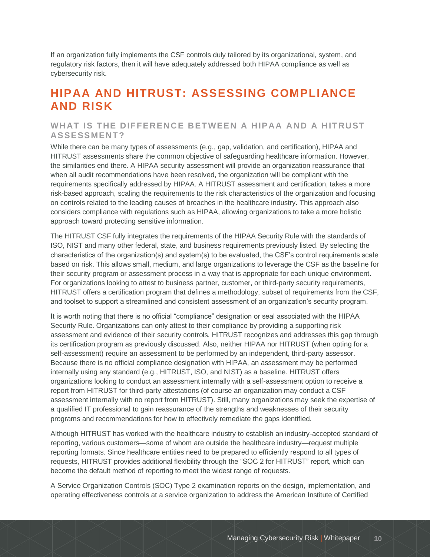If an organization fully implements the CSF controls duly tailored by its organizational, system, and regulatory risk factors, then it will have adequately addressed both HIPAA compliance as well as cybersecurity risk.

### **HIPAA AND HITRUST: ASSESSING COMPLIANCE AND RISK**

#### WHAT IS THE DIFFERENCE BETWEEN A HIPAA AND A HITRUST **ASSESSMENT ?**

While there can be many types of assessments (e.g., gap, validation, and certification), HIPAA and HITRUST assessments share the common objective of safeguarding healthcare information. However, the similarities end there. A HIPAA security assessment will provide an organization reassurance that when all audit recommendations have been resolved, the organization will be compliant with the requirements specifically addressed by HIPAA. A HITRUST assessment and certification, takes a more risk-based approach, scaling the requirements to the risk characteristics of the organization and focusing on controls related to the leading causes of breaches in the healthcare industry. This approach also considers compliance with regulations such as HIPAA, allowing organizations to take a more holistic approach toward protecting sensitive information.

The HITRUST CSF fully integrates the requirements of the HIPAA Security Rule with the standards of ISO, NIST and many other federal, state, and business requirements previously listed. By selecting the characteristics of the organization(s) and system(s) to be evaluated, the CSF's control requirements scale based on risk. This allows small, medium, and large organizations to leverage the CSF as the baseline for their security program or assessment process in a way that is appropriate for each unique environment. For organizations looking to attest to business partner, customer, or third-party security requirements, HITRUST offers a certification program that defines a methodology, subset of requirements from the CSF, and toolset to support a streamlined and consistent assessment of an organization's security program.

It is worth noting that there is no official "compliance" designation or seal associated with the HIPAA Security Rule. Organizations can only attest to their compliance by providing a supporting risk assessment and evidence of their security controls. HITRUST recognizes and addresses this gap through its certification program as previously discussed. Also, neither HIPAA nor HITRUST (when opting for a self-assessment) require an assessment to be performed by an independent, third-party assessor. Because there is no official compliance designation with HIPAA, an assessment may be performed internally using any standard (e.g., HITRUST, ISO, and NIST) as a baseline. HITRUST offers organizations looking to conduct an assessment internally with a self-assessment option to receive a report from HITRUST for third-party attestations (of course an organization may conduct a CSF assessment internally with no report from HITRUST). Still, many organizations may seek the expertise of a qualified IT professional to gain reassurance of the strengths and weaknesses of their security programs and recommendations for how to effectively remediate the gaps identified.

Although HITRUST has worked with the healthcare industry to establish an industry-accepted standard of reporting, various customers—some of whom are outside the healthcare industry—request multiple reporting formats. Since healthcare entities need to be prepared to efficiently respond to all types of requests, HITRUST provides additional flexibility through the "SOC 2 for HITRUST" report, which can become the default method of reporting to meet the widest range of requests.

A Service Organization Controls (SOC) Type 2 examination reports on the design, implementation, and operating effectiveness controls at a service organization to address the American Institute of Certified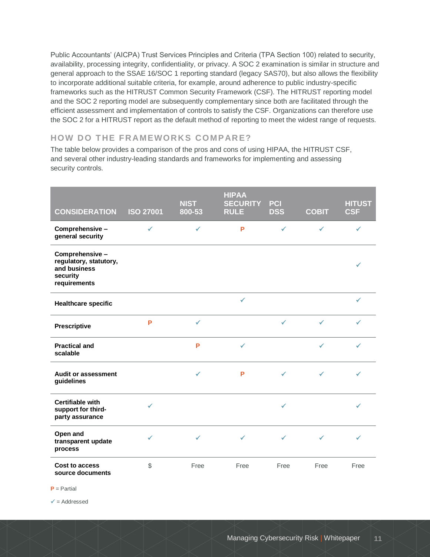Public Accountants' (AICPA) Trust Services Principles and Criteria (TPA Section 100) related to security, availability, processing integrity, confidentiality, or privacy. A SOC 2 examination is similar in structure and general approach to the SSAE 16/SOC 1 reporting standard (legacy SAS70), but also allows the flexibility to incorporate additional suitable criteria, for example, around adherence to public industry-specific frameworks such as the HITRUST Common Security Framework (CSF). The HITRUST reporting model and the SOC 2 reporting model are subsequently complementary since both are facilitated through the efficient assessment and implementation of controls to satisfy the CSF. Organizations can therefore use the SOC 2 for a HITRUST report as the default method of reporting to meet the widest range of requests.

### **HOW DO THE FRAMEWORKS COMPARE?**

The table below provides a comparison of the pros and cons of using HIPAA, the HITRUST CSF, and several other industry-leading standards and frameworks for implementing and assessing security controls.

| <b>CONSIDERATION</b>                                                                  | <b>ISO 27001</b> | <b>NIST</b><br>800-53 | <b>HIPAA</b><br><b>SECURITY</b><br><b>RULE</b> | <b>PCI</b><br><b>DSS</b> | <b>COBIT</b> | <b>HITUST</b><br><b>CSF</b> |
|---------------------------------------------------------------------------------------|------------------|-----------------------|------------------------------------------------|--------------------------|--------------|-----------------------------|
| Comprehensive -<br>general security                                                   | ✓                | ✓                     | P                                              | $\checkmark$             | $\checkmark$ | ✓                           |
| Comprehensive -<br>regulatory, statutory,<br>and business<br>security<br>requirements |                  |                       |                                                |                          |              |                             |
| <b>Healthcare specific</b>                                                            |                  |                       | ✓                                              |                          |              | ✓                           |
| Prescriptive                                                                          | P                | ✓                     |                                                | ✓                        | $\checkmark$ | ✓                           |
| <b>Practical and</b><br>scalable                                                      |                  | P                     | $\checkmark$                                   |                          | ✓            | ✓                           |
| <b>Audit or assessment</b><br>guidelines                                              |                  | ✓                     | P                                              | ✔                        | $\checkmark$ | ✓                           |
| <b>Certifiable with</b><br>support for third-<br>party assurance                      | ✓                |                       |                                                | ✔                        |              |                             |
| Open and<br>transparent update<br>process                                             | ✓                | ✓                     | ✓                                              | ✓                        | ✓            | ✓                           |
| Cost to access<br>source documents                                                    | $\mathcal{L}$    | Free                  | Free                                           | Free                     | Free         | Free                        |

**P** = Partial

 $\checkmark$  = Addressed